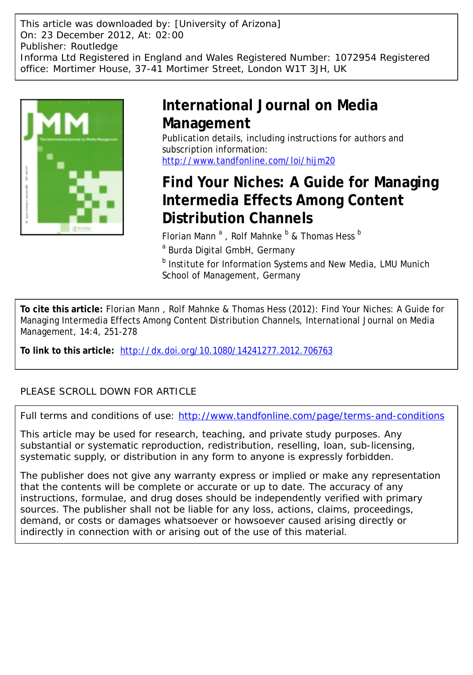This article was downloaded by: [University of Arizona] On: 23 December 2012, At: 02:00 Publisher: Routledge Informa Ltd Registered in England and Wales Registered Number: 1072954 Registered office: Mortimer House, 37-41 Mortimer Street, London W1T 3JH, UK



# **International Journal on Media Management**

Publication details, including instructions for authors and subscription information: <http://www.tandfonline.com/loi/hijm20>

# **Find Your Niches: A Guide for Managing Intermedia Effects Among Content Distribution Channels**

Florian Mann<sup>a</sup>, Rolf Mahnke <sup>b</sup> & Thomas Hess <sup>b</sup>

<sup>a</sup> Burda Digital GmbH, Germany

**b** Institute for Information Systems and New Media, LMU Munich School of Management, Germany

**To cite this article:** Florian Mann , Rolf Mahnke & Thomas Hess (2012): Find Your Niches: A Guide for Managing Intermedia Effects Among Content Distribution Channels, International Journal on Media Management, 14:4, 251-278

**To link to this article:** <http://dx.doi.org/10.1080/14241277.2012.706763>

## PLEASE SCROLL DOWN FOR ARTICLE

Full terms and conditions of use:<http://www.tandfonline.com/page/terms-and-conditions>

This article may be used for research, teaching, and private study purposes. Any substantial or systematic reproduction, redistribution, reselling, loan, sub-licensing, systematic supply, or distribution in any form to anyone is expressly forbidden.

The publisher does not give any warranty express or implied or make any representation that the contents will be complete or accurate or up to date. The accuracy of any instructions, formulae, and drug doses should be independently verified with primary sources. The publisher shall not be liable for any loss, actions, claims, proceedings, demand, or costs or damages whatsoever or howsoever caused arising directly or indirectly in connection with or arising out of the use of this material.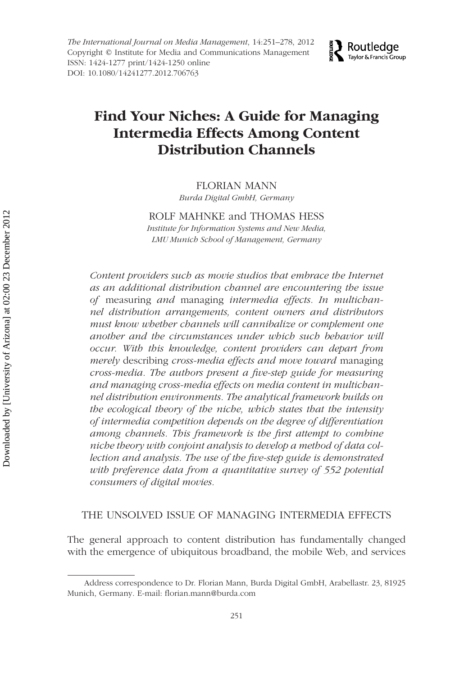

## **Find Your Niches: A Guide for Managing Intermedia Effects Among Content Distribution Channels**

FLORIAN MANN

*Burda Digital GmbH, Germany*

ROLF MAHNKE and THOMAS HESS *Institute for Information Systems and New Media, LMU Munich School of Management, Germany*

*Content providers such as movie studios that embrace the Internet as an additional distribution channel are encountering the issue of* measuring *and* managing *intermedia effects. In multichannel distribution arrangements, content owners and distributors must know whether channels will cannibalize or complement one another and the circumstances under which such behavior will occur. With this knowledge, content providers can depart from merely* describing *cross-media effects and move toward* managing *cross-media. The authors present a five-step guide for measuring and managing cross-media effects on media content in multichannel distribution environments. The analytical framework builds on the ecological theory of the niche, which states that the intensity of intermedia competition depends on the degree of differentiation among channels. This framework is the first attempt to combine niche theory with conjoint analysis to develop a method of data collection and analysis. The use of the five-step guide is demonstrated with preference data from a quantitative survey of 552 potential consumers of digital movies.*

THE UNSOLVED ISSUE OF MANAGING INTERMEDIA EFFECTS

The general approach to content distribution has fundamentally changed with the emergence of ubiquitous broadband, the mobile Web, and services

Address correspondence to Dr. Florian Mann, Burda Digital GmbH, Arabellastr. 23, 81925 Munich, Germany. E-mail: florian.mann@burda.com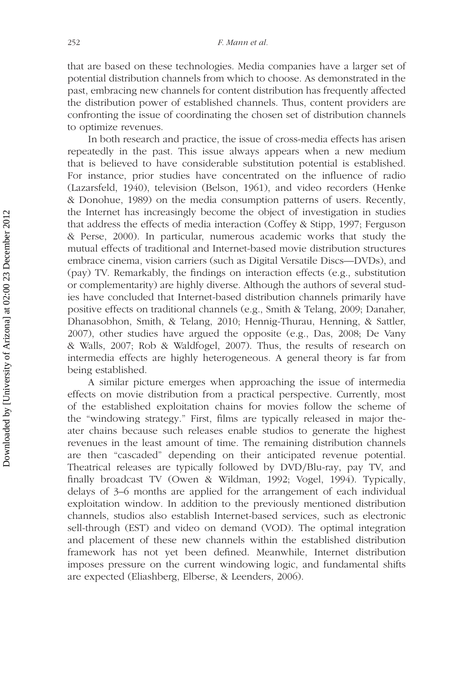that are based on these technologies. Media companies have a larger set of potential distribution channels from which to choose. As demonstrated in the past, embracing new channels for content distribution has frequently affected the distribution power of established channels. Thus, content providers are confronting the issue of coordinating the chosen set of distribution channels to optimize revenues.

In both research and practice, the issue of cross-media effects has arisen repeatedly in the past. This issue always appears when a new medium that is believed to have considerable substitution potential is established. For instance, prior studies have concentrated on the influence of radio (Lazarsfeld, 1940), television (Belson, 1961), and video recorders (Henke & Donohue, 1989) on the media consumption patterns of users. Recently, the Internet has increasingly become the object of investigation in studies that address the effects of media interaction (Coffey & Stipp, 1997; Ferguson & Perse, 2000). In particular, numerous academic works that study the mutual effects of traditional and Internet-based movie distribution structures embrace cinema, vision carriers (such as Digital Versatile Discs—DVDs), and (pay) TV. Remarkably, the findings on interaction effects (e.g., substitution or complementarity) are highly diverse. Although the authors of several studies have concluded that Internet-based distribution channels primarily have positive effects on traditional channels (e.g., Smith & Telang, 2009; Danaher, Dhanasobhon, Smith, & Telang, 2010; Hennig-Thurau, Henning, & Sattler, 2007), other studies have argued the opposite (e.g., Das, 2008; De Vany & Walls, 2007; Rob & Waldfogel, 2007). Thus, the results of research on intermedia effects are highly heterogeneous. A general theory is far from being established.

A similar picture emerges when approaching the issue of intermedia effects on movie distribution from a practical perspective. Currently, most of the established exploitation chains for movies follow the scheme of the "windowing strategy." First, films are typically released in major theater chains because such releases enable studios to generate the highest revenues in the least amount of time. The remaining distribution channels are then "cascaded" depending on their anticipated revenue potential. Theatrical releases are typically followed by DVD/Blu-ray, pay TV, and finally broadcast TV (Owen & Wildman, 1992; Vogel, 1994). Typically, delays of 3–6 months are applied for the arrangement of each individual exploitation window. In addition to the previously mentioned distribution channels, studios also establish Internet-based services, such as electronic sell-through (EST) and video on demand (VOD). The optimal integration and placement of these new channels within the established distribution framework has not yet been defined. Meanwhile, Internet distribution imposes pressure on the current windowing logic, and fundamental shifts are expected (Eliashberg, Elberse, & Leenders, 2006).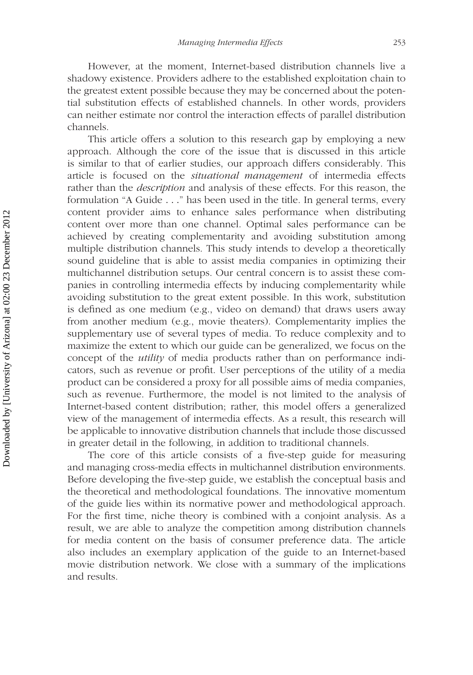However, at the moment, Internet-based distribution channels live a shadowy existence. Providers adhere to the established exploitation chain to the greatest extent possible because they may be concerned about the potential substitution effects of established channels. In other words, providers can neither estimate nor control the interaction effects of parallel distribution channels.

This article offers a solution to this research gap by employing a new approach. Although the core of the issue that is discussed in this article is similar to that of earlier studies, our approach differs considerably. This article is focused on the *situational management* of intermedia effects rather than the *description* and analysis of these effects. For this reason, the formulation "A Guide ..." has been used in the title. In general terms, every content provider aims to enhance sales performance when distributing content over more than one channel. Optimal sales performance can be achieved by creating complementarity and avoiding substitution among multiple distribution channels. This study intends to develop a theoretically sound guideline that is able to assist media companies in optimizing their multichannel distribution setups. Our central concern is to assist these companies in controlling intermedia effects by inducing complementarity while avoiding substitution to the great extent possible. In this work, substitution is defined as one medium (e.g., video on demand) that draws users away from another medium (e.g., movie theaters). Complementarity implies the supplementary use of several types of media. To reduce complexity and to maximize the extent to which our guide can be generalized, we focus on the concept of the *utility* of media products rather than on performance indicators, such as revenue or profit. User perceptions of the utility of a media product can be considered a proxy for all possible aims of media companies, such as revenue. Furthermore, the model is not limited to the analysis of Internet-based content distribution; rather, this model offers a generalized view of the management of intermedia effects. As a result, this research will be applicable to innovative distribution channels that include those discussed in greater detail in the following, in addition to traditional channels.

The core of this article consists of a five-step guide for measuring and managing cross-media effects in multichannel distribution environments. Before developing the five-step guide, we establish the conceptual basis and the theoretical and methodological foundations. The innovative momentum of the guide lies within its normative power and methodological approach. For the first time, niche theory is combined with a conjoint analysis. As a result, we are able to analyze the competition among distribution channels for media content on the basis of consumer preference data. The article also includes an exemplary application of the guide to an Internet-based movie distribution network. We close with a summary of the implications and results.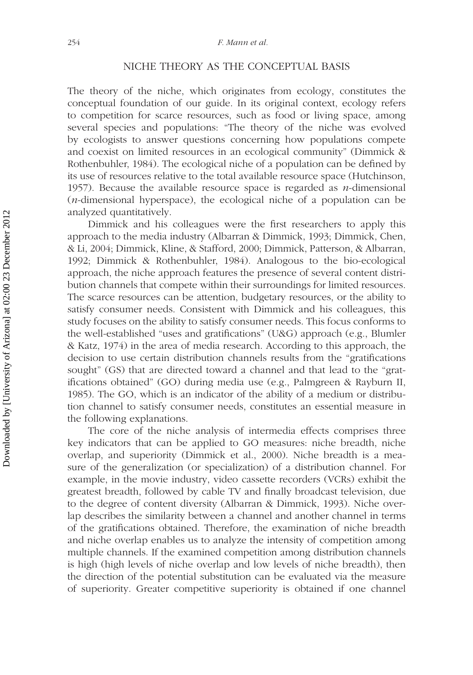## NICHE THEORY AS THE CONCEPTUAL BASIS

The theory of the niche, which originates from ecology, constitutes the conceptual foundation of our guide. In its original context, ecology refers to competition for scarce resources, such as food or living space, among several species and populations: "The theory of the niche was evolved by ecologists to answer questions concerning how populations compete and coexist on limited resources in an ecological community" (Dimmick & Rothenbuhler, 1984). The ecological niche of a population can be defined by its use of resources relative to the total available resource space (Hutchinson, 1957). Because the available resource space is regarded as *n*-dimensional (*n*-dimensional hyperspace), the ecological niche of a population can be analyzed quantitatively.

Dimmick and his colleagues were the first researchers to apply this approach to the media industry (Albarran & Dimmick, 1993; Dimmick, Chen, & Li, 2004; Dimmick, Kline, & Stafford, 2000; Dimmick, Patterson, & Albarran, 1992; Dimmick & Rothenbuhler, 1984). Analogous to the bio-ecological approach, the niche approach features the presence of several content distribution channels that compete within their surroundings for limited resources. The scarce resources can be attention, budgetary resources, or the ability to satisfy consumer needs. Consistent with Dimmick and his colleagues, this study focuses on the ability to satisfy consumer needs. This focus conforms to the well-established "uses and gratifications" (U&G) approach (e.g., Blumler & Katz, 1974) in the area of media research. According to this approach, the decision to use certain distribution channels results from the "gratifications sought" (GS) that are directed toward a channel and that lead to the "gratifications obtained" (GO) during media use (e.g., Palmgreen & Rayburn II, 1985). The GO, which is an indicator of the ability of a medium or distribution channel to satisfy consumer needs, constitutes an essential measure in the following explanations.

The core of the niche analysis of intermedia effects comprises three key indicators that can be applied to GO measures: niche breadth, niche overlap, and superiority (Dimmick et al., 2000). Niche breadth is a measure of the generalization (or specialization) of a distribution channel. For example, in the movie industry, video cassette recorders (VCRs) exhibit the greatest breadth, followed by cable TV and finally broadcast television, due to the degree of content diversity (Albarran & Dimmick, 1993). Niche overlap describes the similarity between a channel and another channel in terms of the gratifications obtained. Therefore, the examination of niche breadth and niche overlap enables us to analyze the intensity of competition among multiple channels. If the examined competition among distribution channels is high (high levels of niche overlap and low levels of niche breadth), then the direction of the potential substitution can be evaluated via the measure of superiority. Greater competitive superiority is obtained if one channel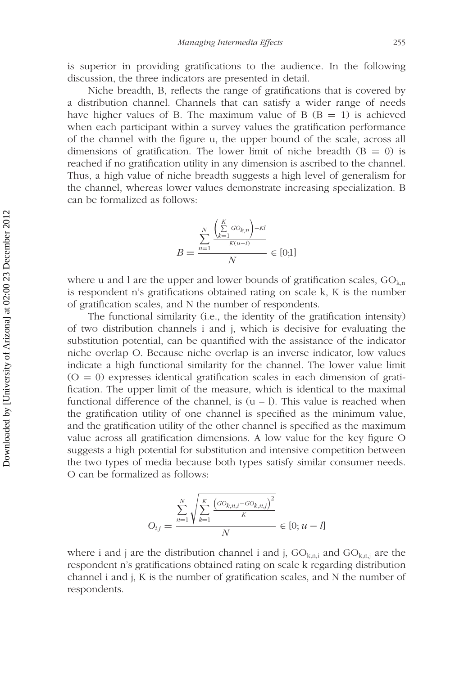is superior in providing gratifications to the audience. In the following discussion, the three indicators are presented in detail.

Niche breadth, B, reflects the range of gratifications that is covered by a distribution channel. Channels that can satisfy a wider range of needs have higher values of B. The maximum value of B  $(B = 1)$  is achieved when each participant within a survey values the gratification performance of the channel with the figure u, the upper bound of the scale, across all dimensions of gratification. The lower limit of niche breadth  $(B = 0)$  is reached if no gratification utility in any dimension is ascribed to the channel. Thus, a high value of niche breadth suggests a high level of generalism for the channel, whereas lower values demonstrate increasing specialization. B can be formalized as follows:

$$
B = \frac{\sum_{n=1}^{N} \frac{\left(\sum_{k=1}^{K} GO_{k,n}\right) - Kl}{K(u-l)}}{N} \in [0;1]
$$

where u and l are the upper and lower bounds of gratification scales,  $GO_{k,n}$ is respondent n's gratifications obtained rating on scale k, K is the number of gratification scales, and N the number of respondents.

The functional similarity (i.e., the identity of the gratification intensity) of two distribution channels i and j, which is decisive for evaluating the substitution potential, can be quantified with the assistance of the indicator niche overlap O. Because niche overlap is an inverse indicator, low values indicate a high functional similarity for the channel. The lower value limit  $(0 = 0)$  expresses identical gratification scales in each dimension of gratification. The upper limit of the measure, which is identical to the maximal functional difference of the channel, is  $(u - l)$ . This value is reached when the gratification utility of one channel is specified as the minimum value, and the gratification utility of the other channel is specified as the maximum value across all gratification dimensions. A low value for the key figure O suggests a high potential for substitution and intensive competition between the two types of media because both types satisfy similar consumer needs. O can be formalized as follows:

$$
O_{ij} = \frac{\sum_{n=1}^{N} \sqrt{\sum_{k=1}^{K} \frac{(GO_{k,n,i} - GO_{k,n,j})^2}{K}}}{N} \in [0; u - l]
$$

where i and j are the distribution channel i and j,  $GO_{k,n,i}$  and  $GO_{k,n,j}$  are the respondent n's gratifications obtained rating on scale k regarding distribution channel i and j, K is the number of gratification scales, and N the number of respondents.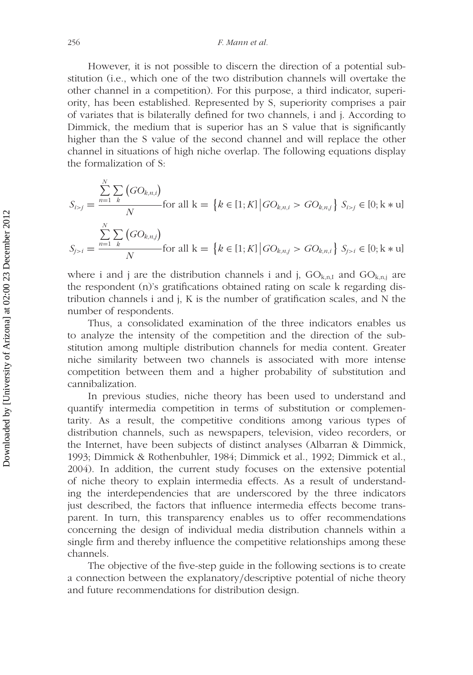However, it is not possible to discern the direction of a potential substitution (i.e., which one of the two distribution channels will overtake the other channel in a competition). For this purpose, a third indicator, superiority, has been established. Represented by S, superiority comprises a pair of variates that is bilaterally defined for two channels, i and j. According to Dimmick, the medium that is superior has an S value that is significantly higher than the S value of the second channel and will replace the other channel in situations of high niche overlap. The following equations display the formalization of S:

$$
S_{i>j} = \frac{\sum_{n=1}^{N} \sum_{k} (GO_{k,n,i})}{N} \text{for all } k = \left\{ k \in [1;K] \middle| GO_{k,n,i} > GO_{k,n,j} \right\} S_{i>j} \in [0; k * u]
$$
  

$$
S_{j>i} = \frac{\sum_{n=1}^{N} \sum_{k} (GO_{k,n,j})}{N} \text{for all } k = \left\{ k \in [1;K] \middle| GO_{k,n,j} > GO_{k,n,i} \right\} S_{j>i} \in [0; k * u]
$$

where i and j are the distribution channels i and j,  $GO_{k,n,I}$  and  $GO_{k,n,j}$  are the respondent (n)'s gratifications obtained rating on scale k regarding distribution channels i and j, K is the number of gratification scales, and N the number of respondents.

Thus, a consolidated examination of the three indicators enables us to analyze the intensity of the competition and the direction of the substitution among multiple distribution channels for media content. Greater niche similarity between two channels is associated with more intense competition between them and a higher probability of substitution and cannibalization.

In previous studies, niche theory has been used to understand and quantify intermedia competition in terms of substitution or complementarity. As a result, the competitive conditions among various types of distribution channels, such as newspapers, television, video recorders, or the Internet, have been subjects of distinct analyses (Albarran & Dimmick, 1993; Dimmick & Rothenbuhler, 1984; Dimmick et al., 1992; Dimmick et al., 2004). In addition, the current study focuses on the extensive potential of niche theory to explain intermedia effects. As a result of understanding the interdependencies that are underscored by the three indicators just described, the factors that influence intermedia effects become transparent. In turn, this transparency enables us to offer recommendations concerning the design of individual media distribution channels within a single firm and thereby influence the competitive relationships among these channels.

The objective of the five-step guide in the following sections is to create a connection between the explanatory/descriptive potential of niche theory and future recommendations for distribution design.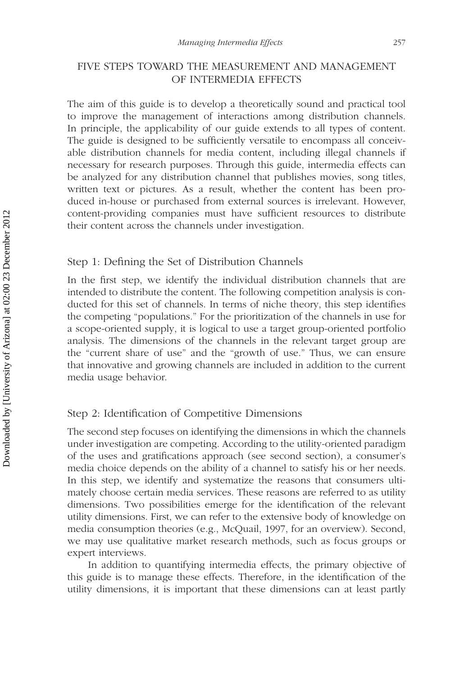## FIVE STEPS TOWARD THE MEASUREMENT AND MANAGEMENT OF INTERMEDIA EFFECTS

The aim of this guide is to develop a theoretically sound and practical tool to improve the management of interactions among distribution channels. In principle, the applicability of our guide extends to all types of content. The guide is designed to be sufficiently versatile to encompass all conceivable distribution channels for media content, including illegal channels if necessary for research purposes. Through this guide, intermedia effects can be analyzed for any distribution channel that publishes movies, song titles, written text or pictures. As a result, whether the content has been produced in-house or purchased from external sources is irrelevant. However, content-providing companies must have sufficient resources to distribute their content across the channels under investigation.

#### Step 1: Defining the Set of Distribution Channels

In the first step, we identify the individual distribution channels that are intended to distribute the content. The following competition analysis is conducted for this set of channels. In terms of niche theory, this step identifies the competing "populations." For the prioritization of the channels in use for a scope-oriented supply, it is logical to use a target group-oriented portfolio analysis. The dimensions of the channels in the relevant target group are the "current share of use" and the "growth of use." Thus, we can ensure that innovative and growing channels are included in addition to the current media usage behavior.

### Step 2: Identification of Competitive Dimensions

The second step focuses on identifying the dimensions in which the channels under investigation are competing. According to the utility-oriented paradigm of the uses and gratifications approach (see second section), a consumer's media choice depends on the ability of a channel to satisfy his or her needs. In this step, we identify and systematize the reasons that consumers ultimately choose certain media services. These reasons are referred to as utility dimensions. Two possibilities emerge for the identification of the relevant utility dimensions. First, we can refer to the extensive body of knowledge on media consumption theories (e.g., McQuail, 1997, for an overview). Second, we may use qualitative market research methods, such as focus groups or expert interviews.

In addition to quantifying intermedia effects, the primary objective of this guide is to manage these effects. Therefore, in the identification of the utility dimensions, it is important that these dimensions can at least partly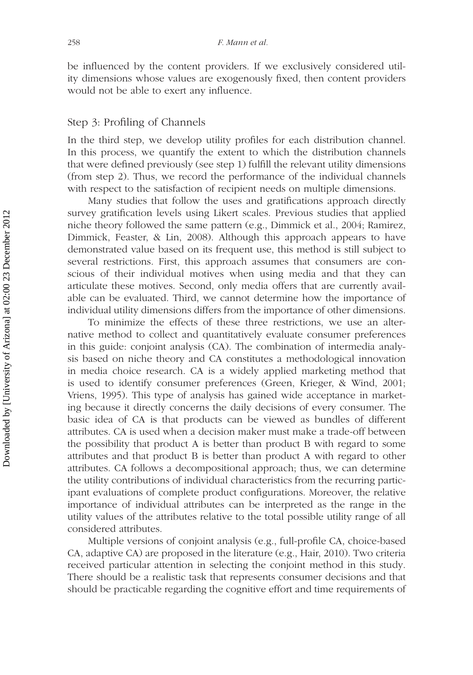be influenced by the content providers. If we exclusively considered utility dimensions whose values are exogenously fixed, then content providers would not be able to exert any influence.

#### Step 3: Profiling of Channels

In the third step, we develop utility profiles for each distribution channel. In this process, we quantify the extent to which the distribution channels that were defined previously (see step 1) fulfill the relevant utility dimensions (from step 2). Thus, we record the performance of the individual channels with respect to the satisfaction of recipient needs on multiple dimensions.

Many studies that follow the uses and gratifications approach directly survey gratification levels using Likert scales. Previous studies that applied niche theory followed the same pattern (e.g., Dimmick et al., 2004; Ramirez, Dimmick, Feaster, & Lin, 2008). Although this approach appears to have demonstrated value based on its frequent use, this method is still subject to several restrictions. First, this approach assumes that consumers are conscious of their individual motives when using media and that they can articulate these motives. Second, only media offers that are currently available can be evaluated. Third, we cannot determine how the importance of individual utility dimensions differs from the importance of other dimensions.

To minimize the effects of these three restrictions, we use an alternative method to collect and quantitatively evaluate consumer preferences in this guide: conjoint analysis (CA). The combination of intermedia analysis based on niche theory and CA constitutes a methodological innovation in media choice research. CA is a widely applied marketing method that is used to identify consumer preferences (Green, Krieger, & Wind, 2001; Vriens, 1995). This type of analysis has gained wide acceptance in marketing because it directly concerns the daily decisions of every consumer. The basic idea of CA is that products can be viewed as bundles of different attributes. CA is used when a decision maker must make a trade-off between the possibility that product A is better than product B with regard to some attributes and that product B is better than product A with regard to other attributes. CA follows a decompositional approach; thus, we can determine the utility contributions of individual characteristics from the recurring participant evaluations of complete product configurations. Moreover, the relative importance of individual attributes can be interpreted as the range in the utility values of the attributes relative to the total possible utility range of all considered attributes.

Multiple versions of conjoint analysis (e.g., full-profile CA, choice-based CA, adaptive CA) are proposed in the literature (e.g., Hair, 2010). Two criteria received particular attention in selecting the conjoint method in this study. There should be a realistic task that represents consumer decisions and that should be practicable regarding the cognitive effort and time requirements of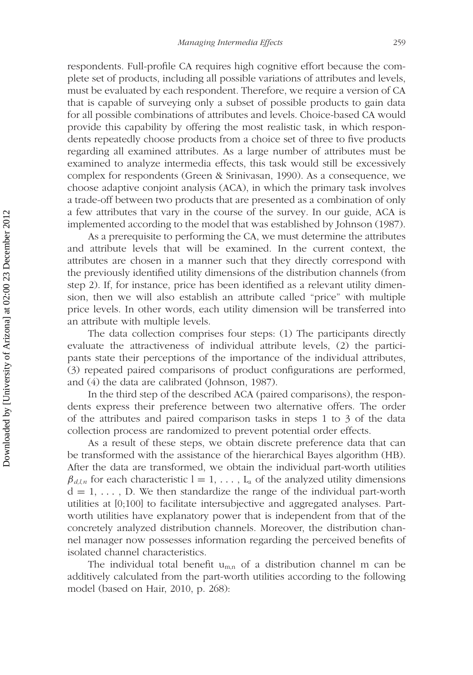respondents. Full-profile CA requires high cognitive effort because the complete set of products, including all possible variations of attributes and levels, must be evaluated by each respondent. Therefore, we require a version of CA that is capable of surveying only a subset of possible products to gain data for all possible combinations of attributes and levels. Choice-based CA would provide this capability by offering the most realistic task, in which respondents repeatedly choose products from a choice set of three to five products regarding all examined attributes. As a large number of attributes must be examined to analyze intermedia effects, this task would still be excessively complex for respondents (Green & Srinivasan, 1990). As a consequence, we choose adaptive conjoint analysis (ACA), in which the primary task involves a trade-off between two products that are presented as a combination of only a few attributes that vary in the course of the survey. In our guide, ACA is implemented according to the model that was established by Johnson (1987).

As a prerequisite to performing the CA, we must determine the attributes and attribute levels that will be examined. In the current context, the attributes are chosen in a manner such that they directly correspond with the previously identified utility dimensions of the distribution channels (from step 2). If, for instance, price has been identified as a relevant utility dimension, then we will also establish an attribute called "price" with multiple price levels. In other words, each utility dimension will be transferred into an attribute with multiple levels.

The data collection comprises four steps: (1) The participants directly evaluate the attractiveness of individual attribute levels, (2) the participants state their perceptions of the importance of the individual attributes, (3) repeated paired comparisons of product configurations are performed, and (4) the data are calibrated (Johnson, 1987).

In the third step of the described ACA (paired comparisons), the respondents express their preference between two alternative offers. The order of the attributes and paired comparison tasks in steps 1 to 3 of the data collection process are randomized to prevent potential order effects.

As a result of these steps, we obtain discrete preference data that can be transformed with the assistance of the hierarchical Bayes algorithm (HB). After the data are transformed, we obtain the individual part-worth utilities  $\beta_{d,l,n}$  for each characteristic  $l = 1, \ldots, L_a$  of the analyzed utility dimensions  $d = 1, \ldots, D$ . We then standardize the range of the individual part-worth utilities at [0;100] to facilitate intersubjective and aggregated analyses. Partworth utilities have explanatory power that is independent from that of the concretely analyzed distribution channels. Moreover, the distribution channel manager now possesses information regarding the perceived benefits of isolated channel characteristics.

The individual total benefit  $u_{m,n}$  of a distribution channel m can be additively calculated from the part-worth utilities according to the following model (based on Hair, 2010, p. 268):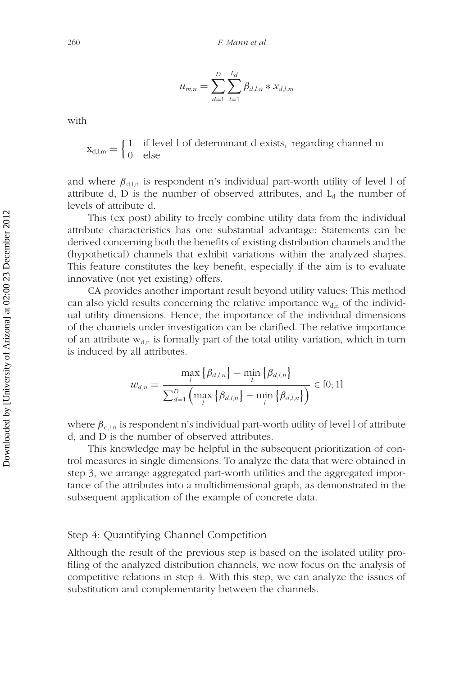$$
u_{m,n} = \sum_{d=1}^{D} \sum_{l=1}^{L_d} \beta_{d,l,n} * x_{d,l,m}
$$

with

$$
x_{d,l,m} = \begin{cases} 1 & \text{if level } l \text{ of determinant } d \text{ exists, regarding channel } m \\ 0 & \text{else} \end{cases}
$$

and where  $\beta_{d,l,n}$  is respondent n's individual part-worth utility of level l of attribute d, D is the number of observed attributes, and  $L_d$  the number of levels of attribute d.

This (ex post) ability to freely combine utility data from the individual attribute characteristics has one substantial advantage: Statements can be derived concerning both the benefits of existing distribution channels and the (hypothetical) channels that exhibit variations within the analyzed shapes. This feature constitutes the key benefit, especially if the aim is to evaluate innovative (not yet existing) offers.

CA provides another important result beyond utility values: This method can also yield results concerning the relative importance  $w_{d,n}$  of the individual utility dimensions. Hence, the importance of the individual dimensions of the channels under investigation can be clarified. The relative importance of an attribute  $w_{d,n}$  is formally part of the total utility variation, which in turn is induced by all attributes.

$$
w_{d,n} = \frac{\max_{l} \{ \beta_{d,l,n} \} - \min_{l} \{ \beta_{d,l,n} \}}{\sum_{d=1}^{D} \left( \max_{l} \{ \beta_{d,l,n} \} - \min_{l} \{ \beta_{d,l,n} \} \right)} \in [0; 1]
$$

where  $\beta_{d,l,n}$  is respondent n's individual part-worth utility of level l of attribute d, and D is the number of observed attributes.

This knowledge may be helpful in the subsequent prioritization of control measures in single dimensions. To analyze the data that were obtained in step 3, we arrange aggregated part-worth utilities and the aggregated importance of the attributes into a multidimensional graph, as demonstrated in the subsequent application of the example of concrete data.

#### Step 4: Quantifying Channel Competition

Although the result of the previous step is based on the isolated utility profiling of the analyzed distribution channels, we now focus on the analysis of competitive relations in step 4. With this step, we can analyze the issues of substitution and complementarity between the channels.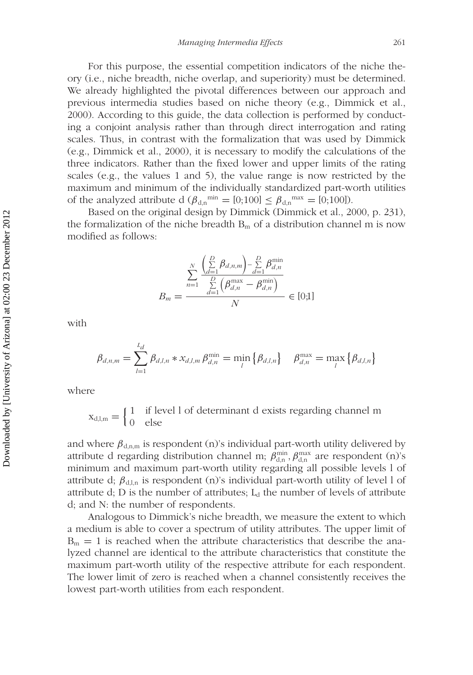For this purpose, the essential competition indicators of the niche theory (i.e., niche breadth, niche overlap, and superiority) must be determined. We already highlighted the pivotal differences between our approach and previous intermedia studies based on niche theory (e.g., Dimmick et al., 2000). According to this guide, the data collection is performed by conducting a conjoint analysis rather than through direct interrogation and rating scales. Thus, in contrast with the formalization that was used by Dimmick (e.g., Dimmick et al., 2000), it is necessary to modify the calculations of the three indicators. Rather than the fixed lower and upper limits of the rating scales (e.g., the values 1 and 5), the value range is now restricted by the maximum and minimum of the individually standardized part-worth utilities of the analyzed attribute d  $(\beta_{d,n}^{min} = [0,100] \leq \beta_{d,n}^{max} = [0,100])$ .

Based on the original design by Dimmick (Dimmick et al., 2000, p. 231), the formalization of the niche breadth  $B_m$  of a distribution channel m is now modified as follows:

$$
B_m = \frac{\sum\limits_{n=1}^{N} \underbrace{\left(\sum\limits_{d=1}^{D} \beta_{d,n,m}\right) - \sum\limits_{d=1}^{D} \beta_{d,n}^{\min}}_{N} }{N} \in [0;1]
$$

with

$$
\beta_{d,n,m} = \sum_{l=1}^{L_d} \beta_{d,l,n} * x_{d,l,m} \beta_{d,n}^{\min} = \min_l \{ \beta_{d,l,n} \} \quad \beta_{d,n}^{\max} = \max_l \{ \beta_{d,l,n} \}
$$

where

$$
x_{d,l,m} = \begin{cases} 1 & \text{if level } l \text{ of determinant } d \text{ exists regarding channel } m \\ 0 & \text{else} \end{cases}
$$

and where  $\beta_{\rm d,n,m}$  is respondent (n)'s individual part-worth utility delivered by attribute d regarding distribution channel m;  $\beta_{d,n}^{min}$ ,  $\beta_{d,n}^{max}$  are respondent (n)'s minimum and maximum part-worth utility regarding all possible levels l of attribute d;  $\beta_{d,l,n}$  is respondent (n)'s individual part-worth utility of level l of attribute d;  $D$  is the number of attributes;  $L_d$  the number of levels of attribute d; and N: the number of respondents.

Analogous to Dimmick's niche breadth, we measure the extent to which a medium is able to cover a spectrum of utility attributes. The upper limit of  $B_m = 1$  is reached when the attribute characteristics that describe the analyzed channel are identical to the attribute characteristics that constitute the maximum part-worth utility of the respective attribute for each respondent. The lower limit of zero is reached when a channel consistently receives the lowest part-worth utilities from each respondent.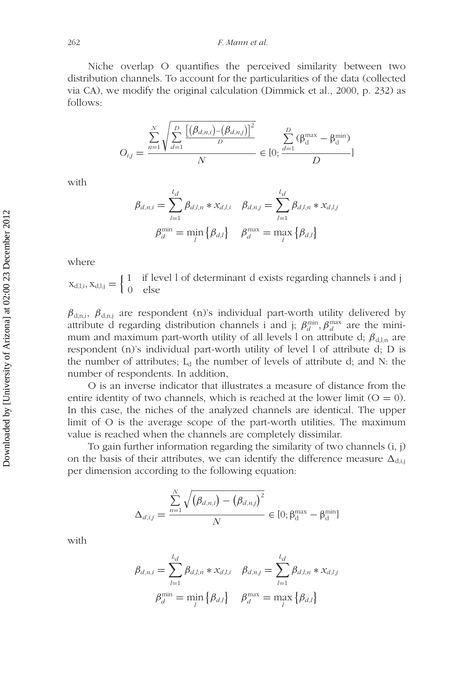#### 262 *F. Mann et al.*

Niche overlap O quantifies the perceived similarity between two distribution channels. To account for the particularities of the data (collected via CA), we modify the original calculation (Dimmick et al., 2000, p. 232) as follows:

$$
O_{i,j} = \frac{\sum_{n=1}^{N} \sqrt{\sum_{d=1}^{D} \frac{\left[ (\beta_{d,n,i}) - (\beta_{d,n,j}) \right]^2}{D}}}{N} \in [0; \frac{\sum_{d=1}^{D} (\beta_{d}^{\max} - \beta_{d}^{\min})}{D}]
$$

with

$$
\beta_{d,n,i} = \sum_{l=1}^{L_d} \beta_{d,l,n} * x_{d,l,i} \quad \beta_{d,n,j} = \sum_{l=1}^{L_d} \beta_{d,l,n} * x_{d,l,j}
$$

$$
\beta_d^{\min} = \min_l \{ \beta_{d,l} \} \quad \beta_d^{\max} = \max_l \{ \beta_{d,l} \}
$$

where

 $\mathbf{x}_{d,l,i}, \mathbf{x}_{d,l,j} = \begin{cases} 1 & \text{if level } l \text{ of determinant } d \text{ exists regarding channels } i \text{ and } j \end{cases}$ 0 else

 $\beta_{d,n,i}$ ,  $\beta_{d,n,i}$  are respondent (n)'s individual part-worth utility delivered by attribute d regarding distribution channels i and j;  $\beta_d^{\min}$ ,  $\beta_d^{\max}$  are the minimum and maximum part-worth utility of all levels l on attribute d;  $\beta_{d,ln}$  are respondent (n)'s individual part-worth utility of level l of attribute d; D is the number of attributes;  $L_d$  the number of levels of attribute d; and N: the number of respondents. In addition,

O is an inverse indicator that illustrates a measure of distance from the entire identity of two channels, which is reached at the lower limit ( $O = 0$ ). In this case, the niches of the analyzed channels are identical. The upper limit of O is the average scope of the part-worth utilities. The maximum value is reached when the channels are completely dissimilar.

To gain further information regarding the similarity of two channels (i, j) on the basis of their attributes, we can identify the difference measure  $\Delta_{d,i,j}$ per dimension according to the following equation:

$$
\Delta_{d,i,j} = \frac{\sum_{n=1}^{N} \sqrt{\left(\beta_{d,n,i}\right) - \left(\beta_{d,n,j}\right)^2}}{N} \in [0; \beta_d^{\max} - \beta_d^{\min}]
$$

 $\beta_{d,n,i} =$ *L*  $\sum$ *l*=1  $\beta_{d,l,n} * x_{d,l,i}$   $\beta_{d,n,j} =$ *L*  $\sum$ *l*=1  $\beta_{d,l,n} * x_{d,l,j}$  $\beta_d^{\min} = \min_l \{\beta_{d,l}\}$   $\beta_d^{\max} = \max_l \{\beta_{d,l}\}$ 

with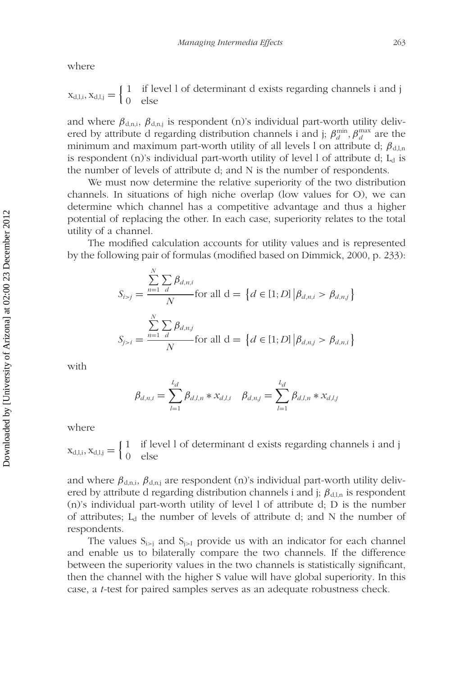where

$$
x_{d,l,i}, x_{d,l,j} = \begin{cases} 1 & \text{if level } l \text{ of determinant } d \text{ exists regarding channels } i \text{ and } j \\ 0 & \text{else} \end{cases}
$$

and where  $\beta_{d,n,i}$ ,  $\beta_{d,n,j}$  is respondent (n)'s individual part-worth utility delivered by attribute d regarding distribution channels i and j;  $\beta_d^{\min}$ ,  $\beta_d^{\max}$  are the minimum and maximum part-worth utility of all levels l on attribute d;  $\beta_{d,l,n}$ is respondent (n)'s individual part-worth utility of level  $l$  of attribute d;  $L_d$  is the number of levels of attribute d; and N is the number of respondents.

We must now determine the relative superiority of the two distribution channels. In situations of high niche overlap (low values for O), we can determine which channel has a competitive advantage and thus a higher potential of replacing the other. In each case, superiority relates to the total utility of a channel.

The modified calculation accounts for utility values and is represented by the following pair of formulas (modified based on Dimmick, 2000, p. 233):

$$
S_{i>j} = \frac{\sum_{n=1}^{N} \sum_{d} \beta_{d,n,i}}{N} \text{ for all } d = \{d \in [1;D] | \beta_{d,n,i} > \beta_{d,n,j}\}
$$

$$
S_{j>i} = \frac{\sum_{n=1}^{N} \sum_{d} \beta_{d,n,j}}{N} \text{ for all } d = \{d \in [1;D] | \beta_{d,n,j} > \beta_{d,n,i}\}
$$

with

$$
\beta_{d,n,i} = \sum_{l=1}^{L_d} \beta_{d,l,n} * x_{d,l,i} \quad \beta_{d,n,j} = \sum_{l=1}^{L_d} \beta_{d,l,n} * x_{d,l,j}
$$

where

$$
x_{d,l,i}, x_{d,l,j} = \begin{cases} 1 & \text{if level } l \text{ of determinant } d \text{ exists regarding channels } i \text{ and } j \\ 0 & \text{else} \end{cases}
$$

and where  $\beta_{d,n,i}$ ,  $\beta_{d,n,j}$  are respondent (n)'s individual part-worth utility delivered by attribute d regarding distribution channels i and j;  $\beta_{d,l,n}$  is respondent (n)'s individual part-worth utility of level l of attribute d; D is the number of attributes;  $L_d$  the number of levels of attribute d; and N the number of respondents.

The values  $S_{i>1}$  and  $S_{i>1}$  provide us with an indicator for each channel and enable us to bilaterally compare the two channels. If the difference between the superiority values in the two channels is statistically significant, then the channel with the higher S value will have global superiority. In this case, a *t*-test for paired samples serves as an adequate robustness check.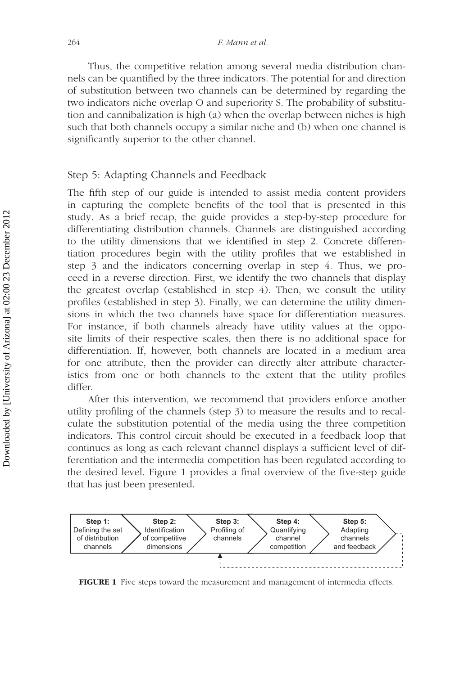Thus, the competitive relation among several media distribution channels can be quantified by the three indicators. The potential for and direction of substitution between two channels can be determined by regarding the two indicators niche overlap O and superiority S. The probability of substitution and cannibalization is high (a) when the overlap between niches is high such that both channels occupy a similar niche and (b) when one channel is significantly superior to the other channel.

#### Step 5: Adapting Channels and Feedback

The fifth step of our guide is intended to assist media content providers in capturing the complete benefits of the tool that is presented in this study. As a brief recap, the guide provides a step-by-step procedure for differentiating distribution channels. Channels are distinguished according to the utility dimensions that we identified in step 2. Concrete differentiation procedures begin with the utility profiles that we established in step 3 and the indicators concerning overlap in step 4. Thus, we proceed in a reverse direction. First, we identify the two channels that display the greatest overlap (established in step 4). Then, we consult the utility profiles (established in step 3). Finally, we can determine the utility dimensions in which the two channels have space for differentiation measures. For instance, if both channels already have utility values at the opposite limits of their respective scales, then there is no additional space for differentiation. If, however, both channels are located in a medium area for one attribute, then the provider can directly alter attribute characteristics from one or both channels to the extent that the utility profiles differ.

After this intervention, we recommend that providers enforce another utility profiling of the channels (step 3) to measure the results and to recalculate the substitution potential of the media using the three competition indicators. This control circuit should be executed in a feedback loop that continues as long as each relevant channel displays a sufficient level of differentiation and the intermedia competition has been regulated according to the desired level. Figure 1 provides a final overview of the five-step guide that has just been presented.



FIGURE 1 Five steps toward the measurement and management of intermedia effects.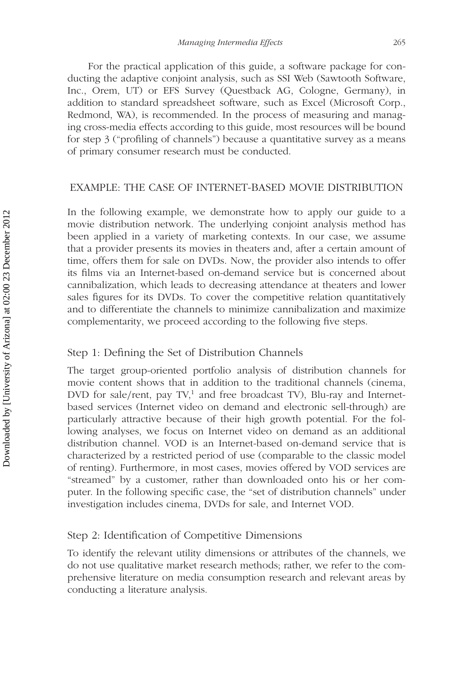For the practical application of this guide, a software package for conducting the adaptive conjoint analysis, such as SSI Web (Sawtooth Software, Inc., Orem, UT) or EFS Survey (Questback AG, Cologne, Germany), in addition to standard spreadsheet software, such as Excel (Microsoft Corp., Redmond, WA), is recommended. In the process of measuring and managing cross-media effects according to this guide, most resources will be bound for step 3 ("profiling of channels") because a quantitative survey as a means of primary consumer research must be conducted.

#### EXAMPLE: THE CASE OF INTERNET-BASED MOVIE DISTRIBUTION

In the following example, we demonstrate how to apply our guide to a movie distribution network. The underlying conjoint analysis method has been applied in a variety of marketing contexts. In our case, we assume that a provider presents its movies in theaters and, after a certain amount of time, offers them for sale on DVDs. Now, the provider also intends to offer its films via an Internet-based on-demand service but is concerned about cannibalization, which leads to decreasing attendance at theaters and lower sales figures for its DVDs. To cover the competitive relation quantitatively and to differentiate the channels to minimize cannibalization and maximize complementarity, we proceed according to the following five steps.

#### Step 1: Defining the Set of Distribution Channels

The target group-oriented portfolio analysis of distribution channels for movie content shows that in addition to the traditional channels (cinema, DVD for sale/rent, pay  $\text{TV}^1$  and free broadcast TV), Blu-ray and Internetbased services (Internet video on demand and electronic sell-through) are particularly attractive because of their high growth potential. For the following analyses, we focus on Internet video on demand as an additional distribution channel. VOD is an Internet-based on-demand service that is characterized by a restricted period of use (comparable to the classic model of renting). Furthermore, in most cases, movies offered by VOD services are "streamed" by a customer, rather than downloaded onto his or her computer. In the following specific case, the "set of distribution channels" under investigation includes cinema, DVDs for sale, and Internet VOD.

#### Step 2: Identification of Competitive Dimensions

To identify the relevant utility dimensions or attributes of the channels, we do not use qualitative market research methods; rather, we refer to the comprehensive literature on media consumption research and relevant areas by conducting a literature analysis.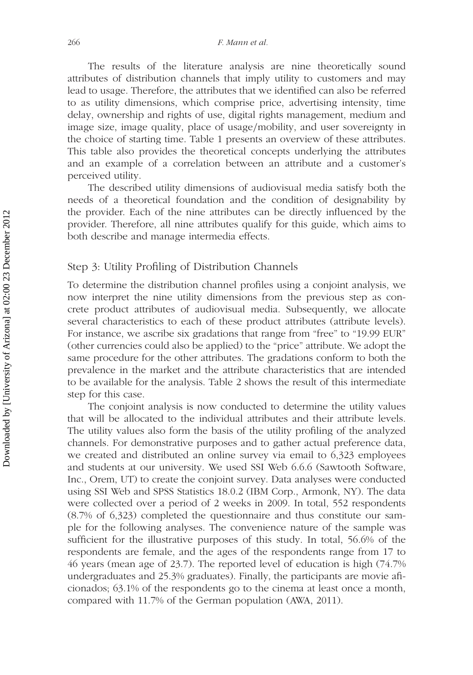The results of the literature analysis are nine theoretically sound attributes of distribution channels that imply utility to customers and may lead to usage. Therefore, the attributes that we identified can also be referred to as utility dimensions, which comprise price, advertising intensity, time delay, ownership and rights of use, digital rights management, medium and image size, image quality, place of usage/mobility, and user sovereignty in the choice of starting time. Table 1 presents an overview of these attributes. This table also provides the theoretical concepts underlying the attributes and an example of a correlation between an attribute and a customer's perceived utility.

The described utility dimensions of audiovisual media satisfy both the needs of a theoretical foundation and the condition of designability by the provider. Each of the nine attributes can be directly influenced by the provider. Therefore, all nine attributes qualify for this guide, which aims to both describe and manage intermedia effects.

#### Step 3: Utility Profiling of Distribution Channels

To determine the distribution channel profiles using a conjoint analysis, we now interpret the nine utility dimensions from the previous step as concrete product attributes of audiovisual media. Subsequently, we allocate several characteristics to each of these product attributes (attribute levels). For instance, we ascribe six gradations that range from "free" to "19.99 EUR" (other currencies could also be applied) to the "price" attribute. We adopt the same procedure for the other attributes. The gradations conform to both the prevalence in the market and the attribute characteristics that are intended to be available for the analysis. Table 2 shows the result of this intermediate step for this case.

The conjoint analysis is now conducted to determine the utility values that will be allocated to the individual attributes and their attribute levels. The utility values also form the basis of the utility profiling of the analyzed channels. For demonstrative purposes and to gather actual preference data, we created and distributed an online survey via email to 6,323 employees and students at our university. We used SSI Web 6.6.6 (Sawtooth Software, Inc., Orem, UT) to create the conjoint survey. Data analyses were conducted using SSI Web and SPSS Statistics 18.0.2 (IBM Corp., Armonk, NY). The data were collected over a period of 2 weeks in 2009. In total, 552 respondents (8.7% of 6,323) completed the questionnaire and thus constitute our sample for the following analyses. The convenience nature of the sample was sufficient for the illustrative purposes of this study. In total, 56.6% of the respondents are female, and the ages of the respondents range from 17 to 46 years (mean age of 23.7). The reported level of education is high (74.7% undergraduates and 25.3% graduates). Finally, the participants are movie aficionados; 63.1% of the respondents go to the cinema at least once a month, compared with 11.7% of the German population (AWA, 2011).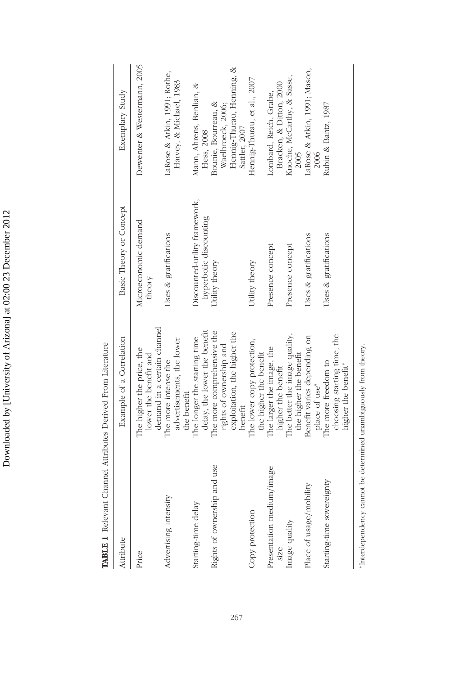| <b>TABLE 1</b> Relevant Channel Attributes Derived From Literature |                                                                                                  |                                                         |                                                                                        |
|--------------------------------------------------------------------|--------------------------------------------------------------------------------------------------|---------------------------------------------------------|----------------------------------------------------------------------------------------|
| Attribute                                                          | Example of a Correlation                                                                         | Basic Theory or Concept                                 | Exemplary Study                                                                        |
| Price                                                              | demand in a certain channel<br>The higher the price, the<br>lower the benefit and                | Microeconomic demand<br>theory                          | Dewenter & Westermann, 2005                                                            |
| Advertising intensity                                              | advertisements, the lower<br>The more intense the<br>the benefit                                 | Uses & gratifications                                   | LaRose & Atkin, 1991; Rothe,<br>Harvey, & Michael, 1983                                |
| Starting-time delay                                                | delay, the lower the benefit<br>The longer the starting time                                     | Discounted-utility framework,<br>hyperbolic discounting | Mann, Ahrens, Benlian, &<br>Hess, 2008                                                 |
| use<br>Rights of ownership and                                     | The more comprehensive the<br>exploitation, the higher the<br>rights of ownership and<br>benetit | Utility theory                                          | Hennig-Thurau, Henning, &<br>Bounie, Bourreau, &<br>Waelbroeck, 2006;<br>Sattler, 2007 |
| Copy protection                                                    | The lower copy protection,<br>the higher the benefit                                             | Utility theory                                          | Hennig-Thurau, et al., 2007                                                            |
| Presentation medium/image<br>size                                  | The larger the image, the<br>higher the benefit                                                  | Presence concept                                        | Bracken, & Ditton, 2000<br>Lombard, Reich, Grabe,                                      |
| Image quality                                                      | The better the image quality,<br>the higher the benefit                                          | Presence concept                                        | Knoche, McCarthy, & Sasse,<br>2005                                                     |
| Place of usage/mobility                                            | Benefit varies depending on<br>place of use*                                                     | Uses & gratifications                                   | LaRose & Atkin, 1991; Mason,<br>2006                                                   |
| Starting-time sovereignty                                          | choosing starting time, the<br>The more freedom to<br>higher the benefit*                        | Uses & gratifications                                   | Rubin & Bantz, 1987                                                                    |

\*Interdependency cannot be determined unambiguously from theory. ∗Interdependency cannot be determined unambiguously from theory.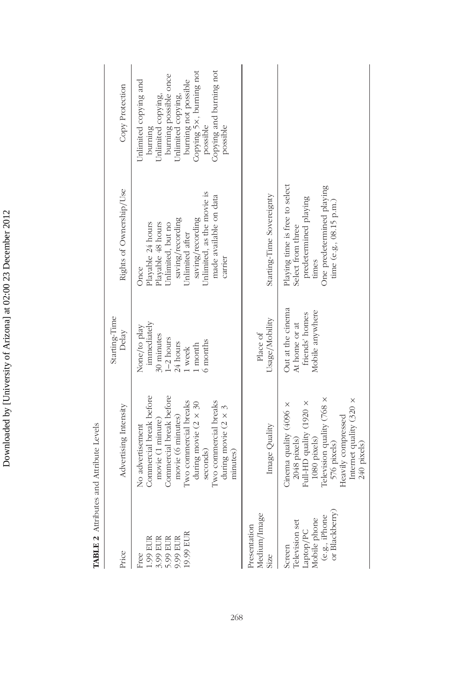|                                                                                         | <b>LABLE 4 AUDULES and AUDULE LEVELS</b>                                                                                                                                                                                                                 |                                                                                                     |                                                                                                                                                                                                   |                                                                                                                                                                                                             |
|-----------------------------------------------------------------------------------------|----------------------------------------------------------------------------------------------------------------------------------------------------------------------------------------------------------------------------------------------------------|-----------------------------------------------------------------------------------------------------|---------------------------------------------------------------------------------------------------------------------------------------------------------------------------------------------------|-------------------------------------------------------------------------------------------------------------------------------------------------------------------------------------------------------------|
| Price                                                                                   | Advertising Intensity                                                                                                                                                                                                                                    | Starting-Time<br>Delay                                                                              | Rights of Ownership/Use                                                                                                                                                                           | Copy Protection                                                                                                                                                                                             |
| 19.99 EUR<br>9.99 EUR<br>3.99 EUR<br>5.99 EUR<br>1.99 EUI<br>Free                       | No advertisement<br>Commercial break before<br>Commercial break before<br>Two commercial breaks<br>Two commercial breaks<br>during movie $(2 \times 30)$<br>during movie $(2 \times 3)$<br>movie (6 minutes)<br>movie (1 minure)<br>seconds)<br>minutes) | immediately<br>None/to play<br>30 minutes<br>$1-2$ hours<br>6 months<br>24 hours<br>1 month<br>week | Unlimited, as the movie is<br>made available on data<br>saving/recording<br>saving/recording<br>Playable 24 hours<br>Playable 48 hours<br>Unlimited, but no<br>Unlimited after<br>carrier<br>Once | Copying 5x, burning not<br>Copying and burning not<br>burning possible once<br>Unlimited copying and<br>burning not possible<br>Unlimited copying,<br>Unlimited copying,<br>possible<br>possible<br>burning |
| Medium/Image<br>Presentation<br>Size                                                    | Image Quality                                                                                                                                                                                                                                            | Usage/Mobility<br>Place of                                                                          | Starting-Time Sovereignty                                                                                                                                                                         |                                                                                                                                                                                                             |
| or Blackberry<br>(e.g., iPhone<br>Mobile phone<br>Television set<br>Laptop/PC<br>Screen | Television quality $(768 \times$<br>Internet quality $(320 \times$<br>Full-HD quality (1920 ×<br>Cinema quality $(4096 \times$<br>eavily compressed<br>2048 pixels)<br>1080 pixels)<br>576 pixels)<br>240 pixels)<br>Ĕ                                   | Out at the cinema<br>Mobile anywhere<br>friends' homes<br>At home or at                             | Playing time is free to select<br>One predetermined playing<br>predetermined playing<br>time $(e.g., 08.15 p.m.)$<br>Select from three<br>times                                                   |                                                                                                                                                                                                             |

 $\frac{1}{2}$ **TABLE 2** Attributes and Attribute Levels  $A$  Attribute  $Ie$ **TARIE 2** Attribute

Downloaded by [University of Arizona] at 02:00 23 December 2012

Downloaded by [University of Arizona] at 02:00 23 December 2012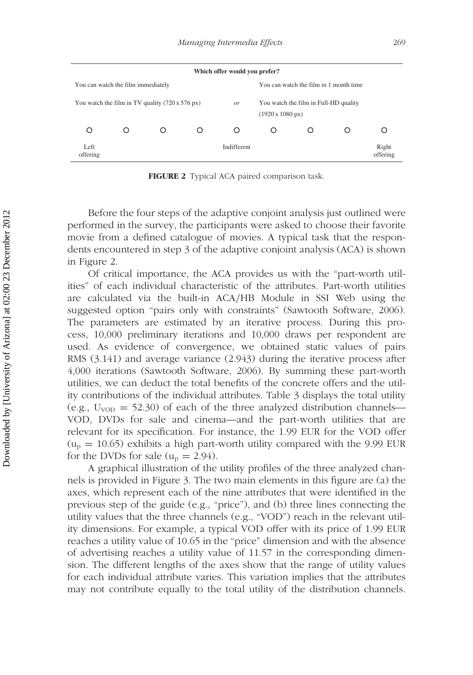|                                                                |   |   |   | Which offer would you prefer? |                                 |                                        |   |                   |
|----------------------------------------------------------------|---|---|---|-------------------------------|---------------------------------|----------------------------------------|---|-------------------|
| You can watch the film immediately                             |   |   |   |                               |                                 | You can watch the film in 1 month time |   |                   |
| You watch the film in TV quality $(720 \times 576 \text{ px})$ |   |   |   | or                            | $(1920 \times 1080 \text{ px})$ | You watch the film in Full-HD quality  |   |                   |
| O                                                              | ∩ | Ο | Ο | O                             | Ω                               |                                        | O |                   |
| Left<br>offering                                               |   |   |   | Indifferent                   |                                 |                                        |   | Right<br>offering |

**FIGURE 2** Typical ACA paired comparison task.

Before the four steps of the adaptive conjoint analysis just outlined were performed in the survey, the participants were asked to choose their favorite movie from a defined catalogue of movies. A typical task that the respondents encountered in step 3 of the adaptive conjoint analysis (ACA) is shown in Figure 2.

Of critical importance, the ACA provides us with the "part-worth utilities" of each individual characteristic of the attributes. Part-worth utilities are calculated via the built-in ACA/HB Module in SSI Web using the suggested option "pairs only with constraints" (Sawtooth Software, 2006). The parameters are estimated by an iterative process. During this process, 10,000 preliminary iterations and 10,000 draws per respondent are used. As evidence of convergence, we obtained static values of pairs RMS (3.141) and average variance (2.943) during the iterative process after 4,000 iterations (Sawtooth Software, 2006). By summing these part-worth utilities, we can deduct the total benefits of the concrete offers and the utility contributions of the individual attributes. Table 3 displays the total utility (e.g.,  $U_{VOD} = 52.30$ ) of each of the three analyzed distribution channels— VOD, DVDs for sale and cinema—and the part-worth utilities that are relevant for its specification. For instance, the 1.99 EUR for the VOD offer  $(u_p = 10.65)$  exhibits a high part-worth utility compared with the 9.99 EUR for the DVDs for sale ( $u_p = 2.94$ ).

A graphical illustration of the utility profiles of the three analyzed channels is provided in Figure 3. The two main elements in this figure are (a) the axes, which represent each of the nine attributes that were identified in the previous step of the guide (e.g., "price"), and (b) three lines connecting the utility values that the three channels (e.g., "VOD") reach in the relevant utility dimensions. For example, a typical VOD offer with its price of 1.99 EUR reaches a utility value of 10.65 in the "price" dimension and with the absence of advertising reaches a utility value of 11.57 in the corresponding dimension. The different lengths of the axes show that the range of utility values for each individual attribute varies. This variation implies that the attributes may not contribute equally to the total utility of the distribution channels.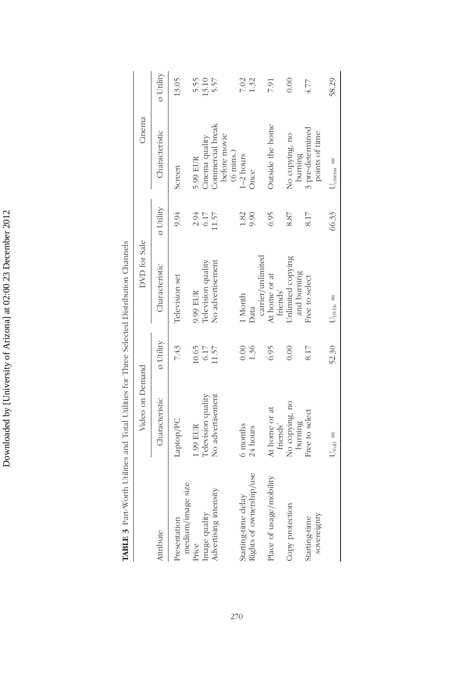| and the contract of the contract of the colline contract in the colline of the colline of the colline of the colline of the colline of the colline of the colline of the colline of the colline of the colline of the colline |                           |           |                                  |           |                                      |            |
|-------------------------------------------------------------------------------------------------------------------------------------------------------------------------------------------------------------------------------|---------------------------|-----------|----------------------------------|-----------|--------------------------------------|------------|
|                                                                                                                                                                                                                               | Video on Demand           |           | DVD for Sale                     |           | Cinema                               |            |
| Attribute                                                                                                                                                                                                                     | Characteristic            | ø Utility | Characteristic                   | ø Utility | Characteristic                       | ø Utility  |
| Presentation                                                                                                                                                                                                                  | Laptop/PC                 | 7.43      | Television set                   | 9.94      | Screen                               | 13.05      |
| medium/image size<br>Price                                                                                                                                                                                                    | 1.99 EUR                  | 10.65     | 9.99 EUR                         | 2.94      | 5.99 EUR                             | 5.55       |
| Image quality                                                                                                                                                                                                                 | Television quality        | 6.17      | Television quality               | $6.17\,$  | Cinema quality                       | 13.10      |
| Advertising intensity                                                                                                                                                                                                         | No advertisement          | 11.57     | No advertisement                 | 11.57     | Commercial break                     | 5.57       |
|                                                                                                                                                                                                                               |                           |           |                                  |           | before movie<br>$(6 \text{ minus.})$ |            |
| Starting-time delay                                                                                                                                                                                                           | 6 months                  | 0.00      | 1 Month                          | 1.82      | $1-2$ hours                          | 7.02       |
| Rights of ownership/use                                                                                                                                                                                                       | 24 hours                  | 1.36      | Data                             | 9.90      | Once                                 | 1.32       |
|                                                                                                                                                                                                                               |                           |           | carrier/unlimited                |           |                                      |            |
| Place of usage/mobility                                                                                                                                                                                                       | At home or at<br>friends' | 6.95      | At home or at<br>friends'        | 6.95      | Outside the home                     | <b>LGZ</b> |
| Copy protection                                                                                                                                                                                                               | No copying, no<br>burning | 0.00      | Unlimited copying<br>and burning | 8.87      | No copying, no<br>burning            | 0.00       |
| sovereignty<br>Starting-time                                                                                                                                                                                                  | Free to select            | 8.17      | Free to select                   | 8.17      | 3 pre-determined<br>points of time   | 4.77       |
|                                                                                                                                                                                                                               | $U_{\rm vob}$ $=$         | 52.30     | $U_{\text{DVDs}} =$              | 66.33     | $U_{\text{chema}} =$                 | 58.29      |

TABLE 3 Part-Worth Utilities and Total Utilities for Three Selected Distribution Channels **TABLE 3** Part-Worth Utilities and Total Utilities for Three Selected Distribution Channels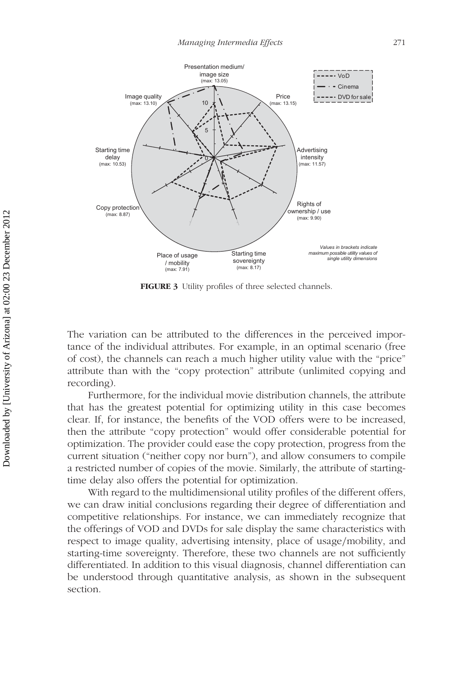

**FIGURE 3** Utility profiles of three selected channels.

The variation can be attributed to the differences in the perceived importance of the individual attributes. For example, in an optimal scenario (free of cost), the channels can reach a much higher utility value with the "price" attribute than with the "copy protection" attribute (unlimited copying and recording).

Furthermore, for the individual movie distribution channels, the attribute that has the greatest potential for optimizing utility in this case becomes clear. If, for instance, the benefits of the VOD offers were to be increased, then the attribute "copy protection" would offer considerable potential for optimization. The provider could ease the copy protection, progress from the current situation ("neither copy nor burn"), and allow consumers to compile a restricted number of copies of the movie. Similarly, the attribute of startingtime delay also offers the potential for optimization.

With regard to the multidimensional utility profiles of the different offers, we can draw initial conclusions regarding their degree of differentiation and competitive relationships. For instance, we can immediately recognize that the offerings of VOD and DVDs for sale display the same characteristics with respect to image quality, advertising intensity, place of usage/mobility, and starting-time sovereignty. Therefore, these two channels are not sufficiently differentiated. In addition to this visual diagnosis, channel differentiation can be understood through quantitative analysis, as shown in the subsequent section.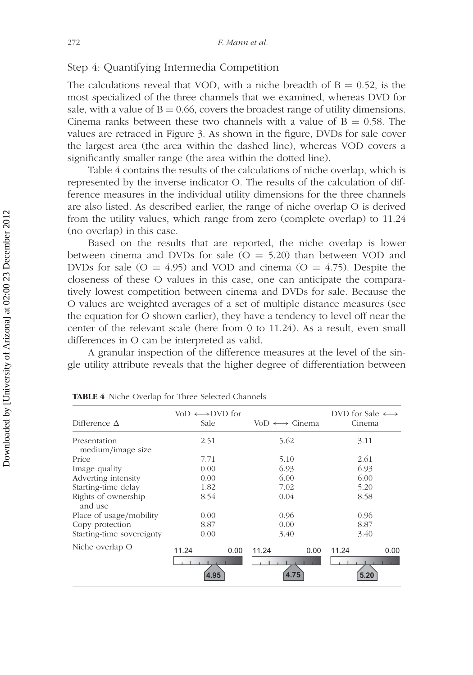#### Step 4: Quantifying Intermedia Competition

The calculations reveal that VOD, with a niche breadth of  $B = 0.52$ , is the most specialized of the three channels that we examined, whereas DVD for sale, with a value of  $B = 0.66$ , covers the broadest range of utility dimensions. Cinema ranks between these two channels with a value of  $B = 0.58$ . The values are retraced in Figure 3. As shown in the figure, DVDs for sale cover the largest area (the area within the dashed line), whereas VOD covers a significantly smaller range (the area within the dotted line).

Table 4 contains the results of the calculations of niche overlap, which is represented by the inverse indicator O. The results of the calculation of difference measures in the individual utility dimensions for the three channels are also listed. As described earlier, the range of niche overlap O is derived from the utility values, which range from zero (complete overlap) to 11.24 (no overlap) in this case.

Based on the results that are reported, the niche overlap is lower between cinema and DVDs for sale  $(O = 5.20)$  than between VOD and DVDs for sale ( $O = 4.95$ ) and VOD and cinema ( $O = 4.75$ ). Despite the closeness of these O values in this case, one can anticipate the comparatively lowest competition between cinema and DVDs for sale. Because the O values are weighted averages of a set of multiple distance measures (see the equation for O shown earlier), they have a tendency to level off near the center of the relevant scale (here from 0 to 11.24). As a result, even small differences in O can be interpreted as valid.

A granular inspection of the difference measures at the level of the single utility attribute reveals that the higher degree of differentiation between

| Difference $\Delta$               | VoD $\longleftrightarrow$ DVD for<br>Sale | $\text{VoD} \longleftrightarrow \text{Cinema}$ | DVD for Sale $\longleftrightarrow$<br>Cinema |
|-----------------------------------|-------------------------------------------|------------------------------------------------|----------------------------------------------|
| Presentation<br>medium/image size | 2.51                                      | 5.62                                           | 3.11                                         |
| Price                             | 7.71                                      | 5.10                                           | 2.61                                         |
| Image quality                     | 0.00                                      | 6.93                                           | 6.93                                         |
| Adverting intensity               | 0.00                                      | 6.00                                           | 6.00                                         |
| Starting-time delay               | 1.82                                      | 7.02                                           | 5.20                                         |
| Rights of ownership<br>and use    | 8.54                                      | 0.04                                           | 8.58                                         |
| Place of usage/mobility           | 0.00                                      | 0.96                                           | 0.96                                         |
| Copy protection                   | 8.87                                      | 0.00                                           | 8.87                                         |
| Starting-time sovereignty         | 0.00                                      | 3.40                                           | 3.40                                         |
| Niche overlap O                   | 11.24<br>0.00                             | 0.00<br>11.24                                  | 11.24<br>0.00                                |
|                                   |                                           |                                                |                                              |
|                                   | 4.95                                      | 4.75                                           | 5.20                                         |

**TABLE 4** Niche Overlap for Three Selected Channels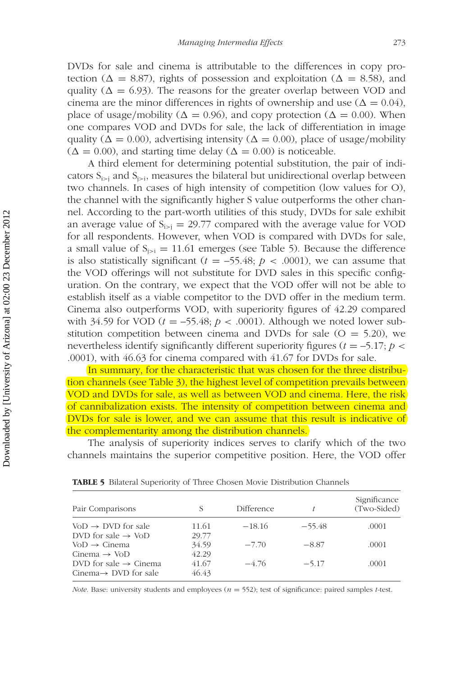DVDs for sale and cinema is attributable to the differences in copy protection ( $\Delta = 8.87$ ), rights of possession and exploitation ( $\Delta = 8.58$ ), and quality ( $\Delta = 6.93$ ). The reasons for the greater overlap between VOD and cinema are the minor differences in rights of ownership and use ( $\Delta = 0.04$ ), place of usage/mobility ( $\Delta = 0.96$ ), and copy protection ( $\Delta = 0.00$ ). When one compares VOD and DVDs for sale, the lack of differentiation in image quality ( $\Delta = 0.00$ ), advertising intensity ( $\Delta = 0.00$ ), place of usage/mobility  $(\Delta = 0.00)$ , and starting time delay  $(\Delta = 0.00)$  is noticeable.

A third element for determining potential substitution, the pair of indicators  $S_{i>i}$  and  $S_{i>i}$ , measures the bilateral but unidirectional overlap between two channels. In cases of high intensity of competition (low values for O), the channel with the significantly higher S value outperforms the other channel. According to the part-worth utilities of this study, DVDs for sale exhibit an average value of  $S_{i>j} = 29.77$  compared with the average value for VOD for all respondents. However, when VOD is compared with DVDs for sale, a small value of  $S_{i>i} = 11.61$  emerges (see Table 5). Because the difference is also statistically significant  $(t = -55.48; p < .0001)$ , we can assume that the VOD offerings will not substitute for DVD sales in this specific configuration. On the contrary, we expect that the VOD offer will not be able to establish itself as a viable competitor to the DVD offer in the medium term. Cinema also outperforms VOD, with superiority figures of 42.29 compared with 34.59 for VOD ( $t = -55.48$ ;  $p < .0001$ ). Although we noted lower substitution competition between cinema and DVDs for sale ( $O = 5.20$ ), we nevertheless identify significantly different superiority figures (*t* = –5.17; *p* < .0001), with 46.63 for cinema compared with 41.67 for DVDs for sale.

In summary, for the characteristic that was chosen for the three distribution channels (see Table 3), the highest level of competition prevails between VOD and DVDs for sale, as well as between VOD and cinema. Here, the risk of cannibalization exists. The intensity of competition between cinema and DVDs for sale is lower, and we can assume that this result is indicative of the complementarity among the distribution channels.

The analysis of superiority indices serves to clarify which of the two channels maintains the superior competitive position. Here, the VOD offer

| Pair Comparisons                                                       |                | Difference |          | Significance<br>(Two-Sided) |
|------------------------------------------------------------------------|----------------|------------|----------|-----------------------------|
| $VoD \rightarrow DVD$ for sale                                         | 11.61          | $-18.16$   | $-55.48$ | .0001                       |
| DVD for sale $\rightarrow$ VoD                                         | 29.77          |            |          |                             |
| $\text{VoD} \rightarrow \text{Cinema}$                                 | 34.59          | $-7.70$    | $-8.87$  | .0001                       |
| Cinema $\rightarrow$ VoD                                               | 42.29          |            |          |                             |
| DVD for sale $\rightarrow$ Cinema<br>Cinema $\rightarrow$ DVD for sale | 41.67<br>46.43 | $-476$     | $-5.17$  | .0001                       |

**TABLE 5** Bilateral Superiority of Three Chosen Movie Distribution Channels

*Note.* Base: university students and employees ( $n = 552$ ); test of significance: paired samples *t*-test.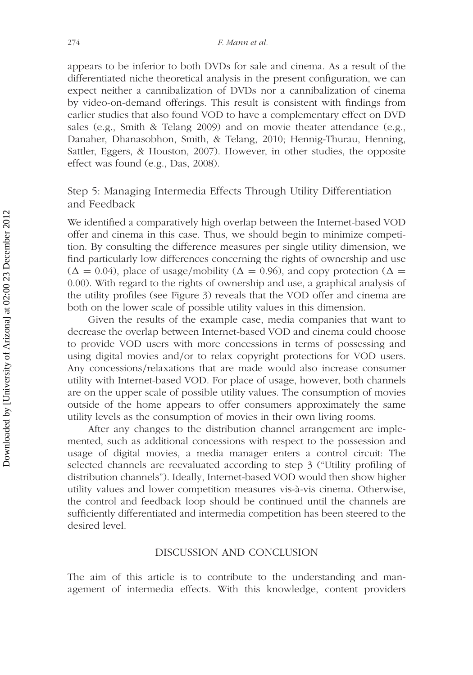appears to be inferior to both DVDs for sale and cinema. As a result of the differentiated niche theoretical analysis in the present configuration, we can expect neither a cannibalization of DVDs nor a cannibalization of cinema by video-on-demand offerings. This result is consistent with findings from earlier studies that also found VOD to have a complementary effect on DVD sales (e.g., Smith & Telang 2009) and on movie theater attendance (e.g., Danaher, Dhanasobhon, Smith, & Telang, 2010; Hennig-Thurau, Henning, Sattler, Eggers, & Houston, 2007). However, in other studies, the opposite effect was found (e.g., Das, 2008).

## Step 5: Managing Intermedia Effects Through Utility Differentiation and Feedback

We identified a comparatively high overlap between the Internet-based VOD offer and cinema in this case. Thus, we should begin to minimize competition. By consulting the difference measures per single utility dimension, we find particularly low differences concerning the rights of ownership and use  $(\Delta = 0.04)$ , place of usage/mobility  $(\Delta = 0.96)$ , and copy protection  $(\Delta = 0.04)$ 0.00). With regard to the rights of ownership and use, a graphical analysis of the utility profiles (see Figure 3) reveals that the VOD offer and cinema are both on the lower scale of possible utility values in this dimension.

Given the results of the example case, media companies that want to decrease the overlap between Internet-based VOD and cinema could choose to provide VOD users with more concessions in terms of possessing and using digital movies and/or to relax copyright protections for VOD users. Any concessions/relaxations that are made would also increase consumer utility with Internet-based VOD. For place of usage, however, both channels are on the upper scale of possible utility values. The consumption of movies outside of the home appears to offer consumers approximately the same utility levels as the consumption of movies in their own living rooms.

After any changes to the distribution channel arrangement are implemented, such as additional concessions with respect to the possession and usage of digital movies, a media manager enters a control circuit: The selected channels are reevaluated according to step 3 ("Utility profiling of distribution channels"). Ideally, Internet-based VOD would then show higher utility values and lower competition measures vis-à-vis cinema. Otherwise, the control and feedback loop should be continued until the channels are sufficiently differentiated and intermedia competition has been steered to the desired level.

#### DISCUSSION AND CONCLUSION

The aim of this article is to contribute to the understanding and management of intermedia effects. With this knowledge, content providers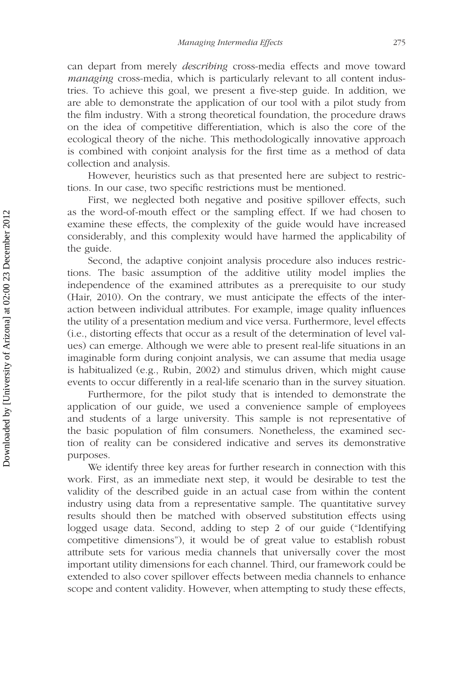can depart from merely *describing* cross-media effects and move toward *managing* cross-media, which is particularly relevant to all content industries. To achieve this goal, we present a five-step guide. In addition, we are able to demonstrate the application of our tool with a pilot study from the film industry. With a strong theoretical foundation, the procedure draws on the idea of competitive differentiation, which is also the core of the ecological theory of the niche. This methodologically innovative approach is combined with conjoint analysis for the first time as a method of data collection and analysis.

However, heuristics such as that presented here are subject to restrictions. In our case, two specific restrictions must be mentioned.

First, we neglected both negative and positive spillover effects, such as the word-of-mouth effect or the sampling effect. If we had chosen to examine these effects, the complexity of the guide would have increased considerably, and this complexity would have harmed the applicability of the guide.

Second, the adaptive conjoint analysis procedure also induces restrictions. The basic assumption of the additive utility model implies the independence of the examined attributes as a prerequisite to our study (Hair, 2010). On the contrary, we must anticipate the effects of the interaction between individual attributes. For example, image quality influences the utility of a presentation medium and vice versa. Furthermore, level effects (i.e., distorting effects that occur as a result of the determination of level values) can emerge. Although we were able to present real-life situations in an imaginable form during conjoint analysis, we can assume that media usage is habitualized (e.g., Rubin, 2002) and stimulus driven, which might cause events to occur differently in a real-life scenario than in the survey situation.

Furthermore, for the pilot study that is intended to demonstrate the application of our guide, we used a convenience sample of employees and students of a large university. This sample is not representative of the basic population of film consumers. Nonetheless, the examined section of reality can be considered indicative and serves its demonstrative purposes.

We identify three key areas for further research in connection with this work. First, as an immediate next step, it would be desirable to test the validity of the described guide in an actual case from within the content industry using data from a representative sample. The quantitative survey results should then be matched with observed substitution effects using logged usage data. Second, adding to step 2 of our guide ("Identifying competitive dimensions"), it would be of great value to establish robust attribute sets for various media channels that universally cover the most important utility dimensions for each channel. Third, our framework could be extended to also cover spillover effects between media channels to enhance scope and content validity. However, when attempting to study these effects,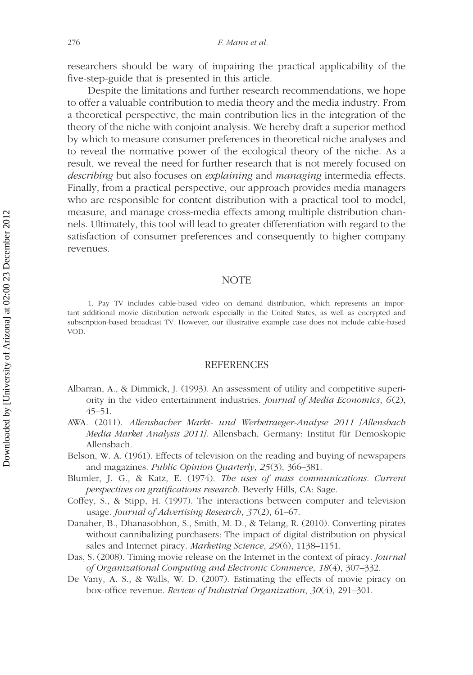researchers should be wary of impairing the practical applicability of the five-step-guide that is presented in this article.

Despite the limitations and further research recommendations, we hope to offer a valuable contribution to media theory and the media industry. From a theoretical perspective, the main contribution lies in the integration of the theory of the niche with conjoint analysis. We hereby draft a superior method by which to measure consumer preferences in theoretical niche analyses and to reveal the normative power of the ecological theory of the niche. As a result, we reveal the need for further research that is not merely focused on *describing* but also focuses on *explaining* and *managing* intermedia effects. Finally, from a practical perspective, our approach provides media managers who are responsible for content distribution with a practical tool to model, measure, and manage cross-media effects among multiple distribution channels. Ultimately, this tool will lead to greater differentiation with regard to the satisfaction of consumer preferences and consequently to higher company revenues.

#### **NOTE**

1. Pay TV includes cable-based video on demand distribution, which represents an important additional movie distribution network especially in the United States, as well as encrypted and subscription-based broadcast TV. However, our illustrative example case does not include cable-based VOD.

#### REFERENCES

- Albarran, A., & Dimmick, J. (1993). An assessment of utility and competitive superiority in the video entertainment industries. *Journal of Media Economics*, *6*(2), 45–51.
- AWA. (2011). *Allensbacher Markt- und Werbetraeger-Analyse 2011 [Allensbach Media Market Analysis 2011]*. Allensbach, Germany: Institut für Demoskopie Allensbach.
- Belson, W. A. (1961). Effects of television on the reading and buying of newspapers and magazines. *Public Opinion Quarterly*, *25*(3), 366–381.
- Blumler, J. G., & Katz, E. (1974). *The uses of mass communications. Current perspectives on gratifications research*. Beverly Hills, CA: Sage.
- Coffey, S., & Stipp, H. (1997). The interactions between computer and television usage. *Journal of Advertising Research*, *37*(2), 61–67.
- Danaher, B., Dhanasobhon, S., Smith, M. D., & Telang, R. (2010). Converting pirates without cannibalizing purchasers: The impact of digital distribution on physical sales and Internet piracy. *Marketing Science*, *29*(6), 1138–1151.
- Das, S. (2008). Timing movie release on the Internet in the context of piracy. *Journal of Organizational Computing and Electronic Commerce*, *18*(4), 307–332.
- De Vany, A. S., & Walls, W. D. (2007). Estimating the effects of movie piracy on box-office revenue. *Review of Industrial Organization*, *30*(4), 291–301.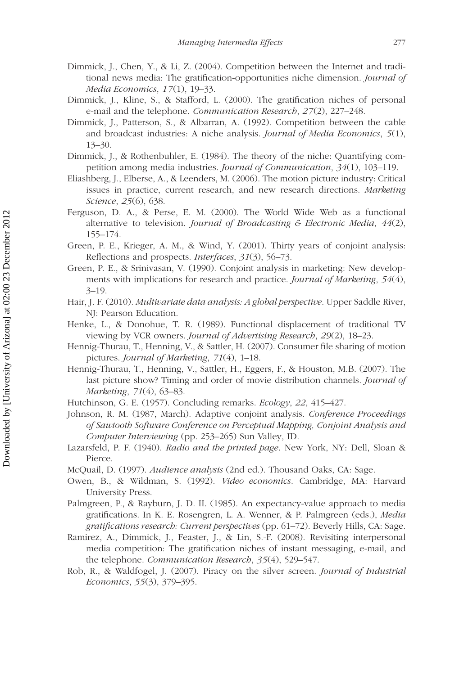- Dimmick, J., Chen, Y., & Li, Z. (2004). Competition between the Internet and traditional news media: The gratification-opportunities niche dimension. *Journal of Media Economics*, *17*(1), 19–33.
- Dimmick, J., Kline, S., & Stafford, L. (2000). The gratification niches of personal e-mail and the telephone. *Communication Research*, *27*(2), 227–248.
- Dimmick, J., Patterson, S., & Albarran, A. (1992). Competition between the cable and broadcast industries: A niche analysis. *Journal of Media Economics*, *5*(1), 13–30.
- Dimmick, J., & Rothenbuhler, E. (1984). The theory of the niche: Quantifying competition among media industries. *Journal of Communication*, *34*(1), 103–119.
- Eliashberg, J., Elberse, A., & Leenders, M. (2006). The motion picture industry: Critical issues in practice, current research, and new research directions. *Marketing Science*, *25*(6), 638.
- Ferguson, D. A., & Perse, E. M. (2000). The World Wide Web as a functional alternative to television. *Journal of Broadcasting & Electronic Media*, *44*(2), 155–174.
- Green, P. E., Krieger, A. M., & Wind, Y. (2001). Thirty years of conjoint analysis: Reflections and prospects. *Interfaces*, *31*(3), 56–73.
- Green, P. E., & Srinivasan, V. (1990). Conjoint analysis in marketing: New developments with implications for research and practice. *Journal of Marketing*, *54*(4), 3–19.
- Hair, J. F. (2010). *Multivariate data analysis: A global perspective*. Upper Saddle River, NJ: Pearson Education.
- Henke, L., & Donohue, T. R. (1989). Functional displacement of traditional TV viewing by VCR owners. *Journal of Advertising Research*, *29*(2), 18–23.
- Hennig-Thurau, T., Henning, V., & Sattler, H. (2007). Consumer file sharing of motion pictures. *Journal of Marketing*, *71*(4), 1–18.
- Hennig-Thurau, T., Henning, V., Sattler, H., Eggers, F., & Houston, M.B. (2007). The last picture show? Timing and order of movie distribution channels. *Journal of Marketing*, *71*(4), 63–83.
- Hutchinson, G. E. (1957). Concluding remarks. *Ecology*, *22*, 415–427.
- Johnson, R. M. (1987, March). Adaptive conjoint analysis. *Conference Proceedings of Sawtooth Software Conference on Perceptual Mapping, Conjoint Analysis and Computer Interviewing* (pp. 253–265) Sun Valley, ID.
- Lazarsfeld, P. F. (1940). *Radio and the printed page*. New York, NY: Dell, Sloan & Pierce.
- McQuail, D. (1997). *Audience analysis* (2nd ed.). Thousand Oaks, CA: Sage.
- Owen, B., & Wildman, S. (1992). *Video economics*. Cambridge, MA: Harvard University Press.
- Palmgreen, P., & Rayburn, J. D. II. (1985). An expectancy-value approach to media gratifications. In K. E. Rosengren, L. A. Wenner, & P. Palmgreen (eds.), *Media gratifications research: Current perspectives* (pp. 61–72). Beverly Hills, CA: Sage.
- Ramirez, A., Dimmick, J., Feaster, J., & Lin, S.-F. (2008). Revisiting interpersonal media competition: The gratification niches of instant messaging, e-mail, and the telephone. *Communication Research*, *35*(4), 529–547.
- Rob, R., & Waldfogel, J. (2007). Piracy on the silver screen. *Journal of Industrial Economics*, *55*(3), 379–395.